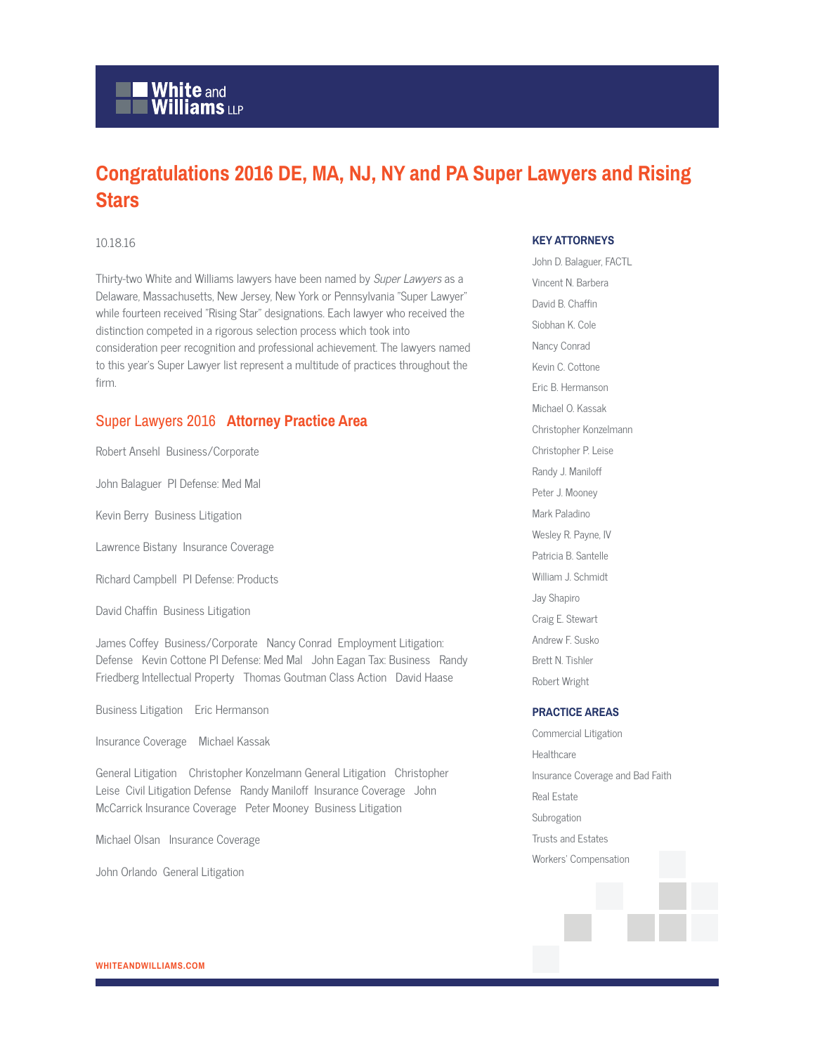## **White and Williams LLP**

### **Congratulations 2016 DE, MA, NJ, NY and PA Super Lawyers and Rising Stars**

#### 10.18.16

Thirty-two White and Williams lawyers have been named by Super Lawyers as a Delaware, Massachusetts, New Jersey, New York or Pennsylvania "Super Lawyer" while fourteen received "Rising Star" designations. Each lawyer who received the distinction competed in a rigorous selection process which took into consideration peer recognition and professional achievement. The lawyers named to this year's Super Lawyer list represent a multitude of practices throughout the firm.

#### Super Lawyers 2016 **Attorney Practice Area**

Robert Ansehl Business/Corporate

John Balaguer PI Defense: Med Mal

Kevin Berry Business Litigation

Lawrence Bistany Insurance Coverage

Richard Campbell PI Defense: Products

David Chaffin Business Litigation

James Coffey Business/Corporate Nancy Conrad Employment Litigation: Defense Kevin Cottone PI Defense: Med Mal John Eagan Tax: Business Randy Friedberg Intellectual Property Thomas Goutman Class Action David Haase

Business Litigation Eric Hermanson

Insurance Coverage Michael Kassak

General Litigation Christopher Konzelmann General Litigation Christopher Leise Civil Litigation Defense Randy Maniloff Insurance Coverage John McCarrick Insurance Coverage Peter Mooney Business Litigation

Michael Olsan Insurance Coverage

John Orlando General Litigation

#### **KEY ATTORNEYS**

John D. Balaguer, FACTL Vincent N. Barbera David B. Chaffin Siobhan K. Cole Nancy Conrad Kevin C. Cottone Eric B. Hermanson Michael O. Kassak Christopher Konzelmann Christopher P. Leise Randy J. Maniloff Peter J. Mooney Mark Paladino Wesley R. Payne, IV Patricia B. Santelle William J. Schmidt Jay Shapiro Craig E. Stewart Andrew F. Susko Brett N. Tishler Robert Wright

#### **PRACTICE AREAS**

Commercial Litigation Healthcare Insurance Coverage and Bad Faith Real Estate Subrogation Trusts and Estates Workers' Compensation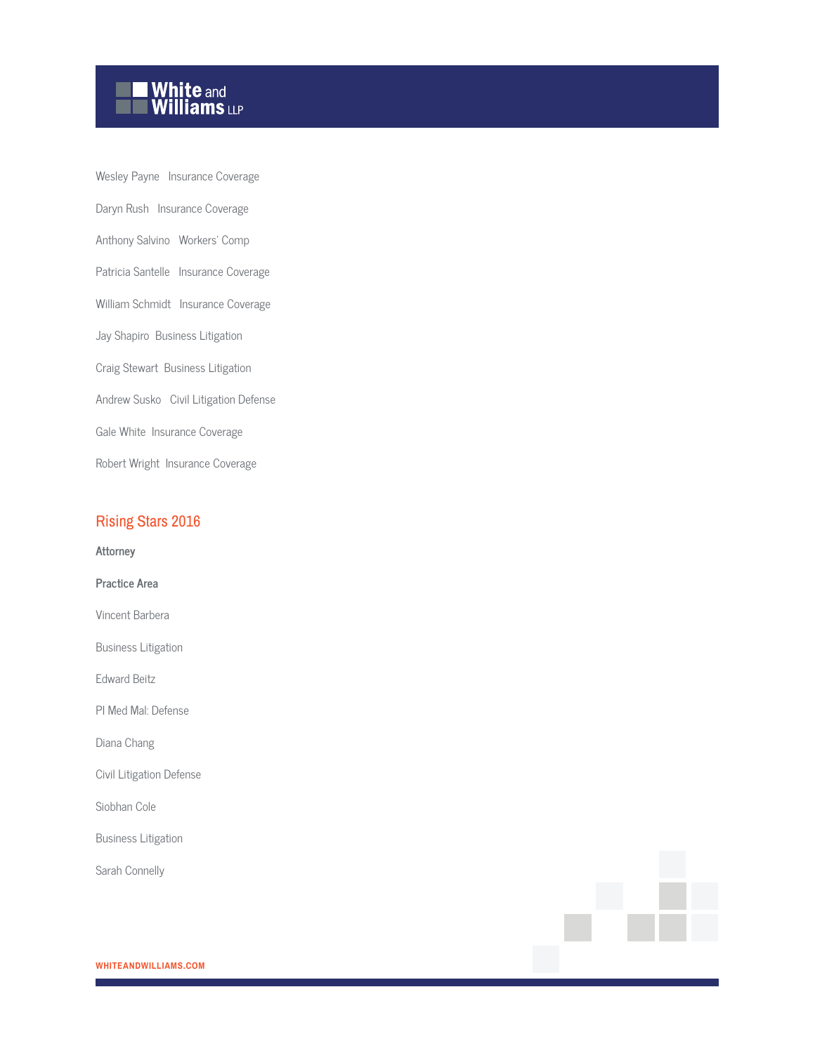

Wesley Payne Insurance Coverage Daryn Rush Insurance Coverage Anthony Salvino Workers' Comp Patricia Santelle Insurance Coverage William Schmidt Insurance Coverage Jay Shapiro Business Litigation Craig Stewart Business Litigation Andrew Susko Civil Litigation Defense Gale White Insurance Coverage Robert Wright Insurance Coverage

#### Rising Stars 2016

**Attorney**

**Practice Area** Vincent Barbera Business Litigation Edward Beitz PI Med Mal: Defense Diana Chang Civil Litigation Defense Siobhan Cole

Business Litigation

Sarah Connelly